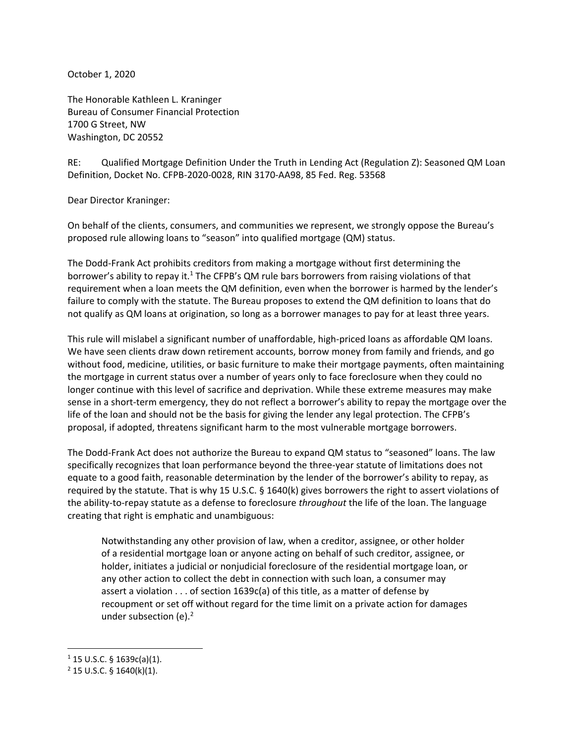October 1, 2020

The Honorable Kathleen L. Kraninger Bureau of Consumer Financial Protection 1700 G Street, NW Washington, DC 20552

RE: Qualified Mortgage Definition Under the Truth in Lending Act (Regulation Z): Seasoned QM Loan Definition, Docket No. CFPB-2020-0028, RIN 3170-AA98, 85 Fed. Reg. 53568

Dear Director Kraninger:

On behalf of the clients, consumers, and communities we represent, we strongly oppose the Bureau's proposed rule allowing loans to "season" into qualified mortgage (QM) status.

The Dodd-Frank Act prohibits creditors from making a mortgage without first determining the borrower's ability to repay it.<sup>1</sup> The CFPB's QM rule bars borrowers from raising violations of that requirement when a loan meets the QM definition, even when the borrower is harmed by the lender's failure to comply with the statute. The Bureau proposes to extend the QM definition to loans that do not qualify as QM loans at origination, so long as a borrower manages to pay for at least three years.

This rule will mislabel a significant number of unaffordable, high-priced loans as affordable QM loans. We have seen clients draw down retirement accounts, borrow money from family and friends, and go without food, medicine, utilities, or basic furniture to make their mortgage payments, often maintaining the mortgage in current status over a number of years only to face foreclosure when they could no longer continue with this level of sacrifice and deprivation. While these extreme measures may make sense in a short-term emergency, they do not reflect a borrower's ability to repay the mortgage over the life of the loan and should not be the basis for giving the lender any legal protection. The CFPB's proposal, if adopted, threatens significant harm to the most vulnerable mortgage borrowers.

The Dodd-Frank Act does not authorize the Bureau to expand QM status to "seasoned" loans. The law specifically recognizes that loan performance beyond the three-year statute of limitations does not equate to a good faith, reasonable determination by the lender of the borrower's ability to repay, as required by the statute. That is why 15 U.S.C. § 1640(k) gives borrowers the right to assert violations of the ability-to-repay statute as a defense to foreclosure *throughout* the life of the loan. The language creating that right is emphatic and unambiguous:

Notwithstanding any other provision of law, when a creditor, assignee, or other holder of a residential mortgage loan or anyone acting on behalf of such creditor, assignee, or holder, initiates a judicial or nonjudicial foreclosure of the residential mortgage loan, or any other action to collect the debt in connection with such loan, a consumer may assert a violation . . . of section 1639c(a) of this title, as a matter of defense by recoupment or set off without regard for the time limit on a private action for damages under subsection (e). $2^2$ 

 $\overline{\phantom{a}}$ 

 $1$  15 U.S.C. § 1639c(a)(1).

 $2$  15 U.S.C. § 1640(k)(1).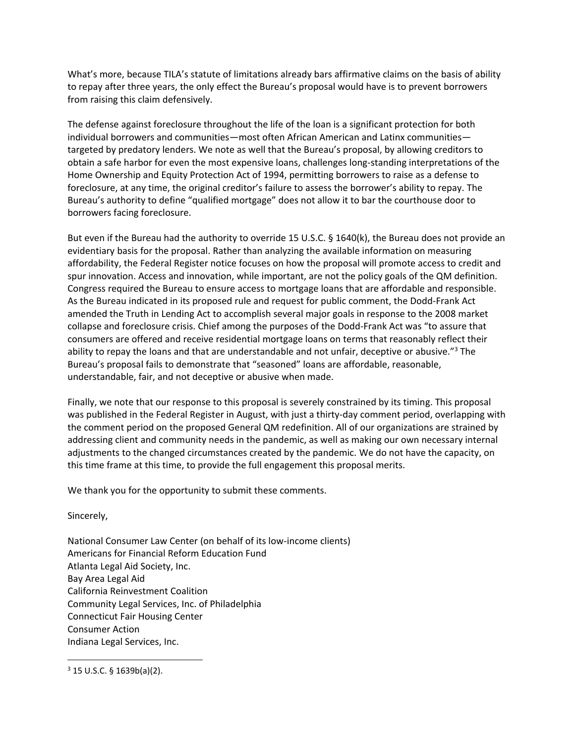What's more, because TILA's statute of limitations already bars affirmative claims on the basis of ability to repay after three years, the only effect the Bureau's proposal would have is to prevent borrowers from raising this claim defensively.

The defense against foreclosure throughout the life of the loan is a significant protection for both individual borrowers and communities—most often African American and Latinx communities targeted by predatory lenders. We note as well that the Bureau's proposal, by allowing creditors to obtain a safe harbor for even the most expensive loans, challenges long-standing interpretations of the Home Ownership and Equity Protection Act of 1994, permitting borrowers to raise as a defense to foreclosure, at any time, the original creditor's failure to assess the borrower's ability to repay. The Bureau's authority to define "qualified mortgage" does not allow it to bar the courthouse door to borrowers facing foreclosure.

But even if the Bureau had the authority to override 15 U.S.C. § 1640(k), the Bureau does not provide an evidentiary basis for the proposal. Rather than analyzing the available information on measuring affordability, the Federal Register notice focuses on how the proposal will promote access to credit and spur innovation. Access and innovation, while important, are not the policy goals of the QM definition. Congress required the Bureau to ensure access to mortgage loans that are affordable and responsible. As the Bureau indicated in its proposed rule and request for public comment, the Dodd-Frank Act amended the Truth in Lending Act to accomplish several major goals in response to the 2008 market collapse and foreclosure crisis. Chief among the purposes of the Dodd-Frank Act was "to assure that consumers are offered and receive residential mortgage loans on terms that reasonably reflect their ability to repay the loans and that are understandable and not unfair, deceptive or abusive."<sup>3</sup> The Bureau's proposal fails to demonstrate that "seasoned" loans are affordable, reasonable, understandable, fair, and not deceptive or abusive when made.

Finally, we note that our response to this proposal is severely constrained by its timing. This proposal was published in the Federal Register in August, with just a thirty-day comment period, overlapping with the comment period on the proposed General QM redefinition. All of our organizations are strained by addressing client and community needs in the pandemic, as well as making our own necessary internal adjustments to the changed circumstances created by the pandemic. We do not have the capacity, on this time frame at this time, to provide the full engagement this proposal merits.

We thank you for the opportunity to submit these comments.

Sincerely,

 $\overline{a}$ 

National Consumer Law Center (on behalf of its low-income clients) Americans for Financial Reform Education Fund Atlanta Legal Aid Society, Inc. Bay Area Legal Aid California Reinvestment Coalition Community Legal Services, Inc. of Philadelphia Connecticut Fair Housing Center Consumer Action Indiana Legal Services, Inc.

 $3$  15 U.S.C. § 1639b(a)(2).